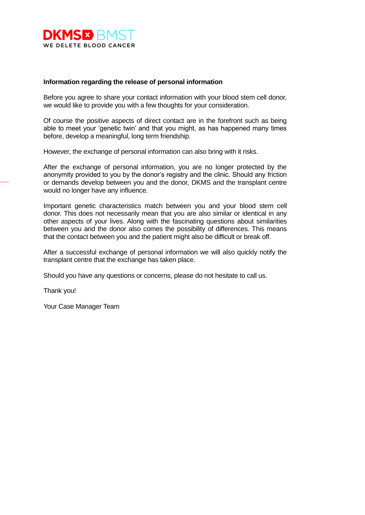

## **Information regarding the release of personal information**

Before you agree to share your contact information with your blood stem cell donor, we would like to provide you with a few thoughts for your consideration.

Of course the positive aspects of direct contact are in the forefront such as being able to meet your 'genetic twin' and that you might, as has happened many times before, develop a meaningful, long term friendship.

However, the exchange of personal information can also bring with it risks.

After the exchange of personal information, you are no longer protected by the anonymity provided to you by the donor's registry and the clinic. Should any friction or demands develop between you and the donor, DKMS and the transplant centre would no longer have any influence.

Important genetic characteristics match between you and your blood stem cell donor. This does not necessarily mean that you are also similar or identical in any other aspects of your lives. Along with the fascinating questions about similarities between you and the donor also comes the possibility of differences. This means that the contact between you and the patient might also be difficult or break off.

After a successful exchange of personal information we will also quickly notify the transplant centre that the exchange has taken place.

Should you have any questions or concerns, please do not hesitate to call us.

Thank you!

Your Case Manager Team